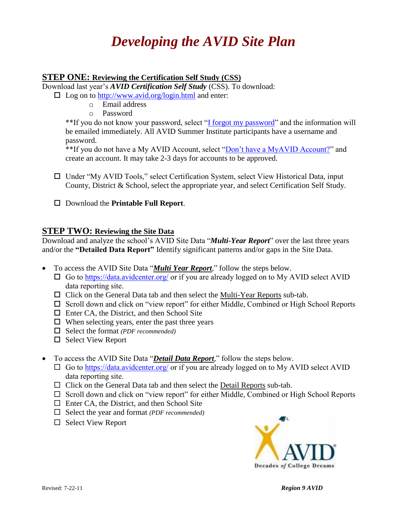# *Developing the AVID Site Plan*

### **STEP ONE: Reviewing the Certification Self Study (CSS)**

Download last year's *AVID Certification Self Study* (CSS). To download:

- $\Box$  Log on to<http://www.avid.org/login.html> and enter:
	- o Email address
		- o Password

\*\*If you do not know your password, select ["I forgot my password"](https://www.avidonline.org/login/Default.asp?a=f1) and the information will be emailed immediately. All AVID Summer Institute participants have a username and password.

\*\*If you do not have a My AVID Account, select ["Don't have a MyAVID Account?"](http://www.avid.org/donthavemyavidaccount.html) and create an account. It may take 2-3 days for accounts to be approved.

 $\Box$  Under "My AVID Tools," select Certification System, select View Historical Data, input County, District & School, select the appropriate year, and select Certification Self Study.

Download the **Printable Full Report**.

### **STEP TWO: Reviewing the Site Data**

Download and analyze the school's AVID Site Data "*Multi-Year Report*" over the last three years and/or the **"Detailed Data Report"** Identify significant patterns and/or gaps in the Site Data.

- To access the AVID Site Data "*Multi Year Report,*" follow the steps below.
	- $\Box$  Go to <https://data.avidcenter.org/> or if you are already logged on to My AVID select AVID data reporting site.
	- $\Box$  Click on the General Data tab and then select the Multi-Year Reports sub-tab.
	- $\Box$  Scroll down and click on "view report" for either Middle, Combined or High School Reports
	- $\Box$  Enter CA, the District, and then School Site
	- $\Box$  When selecting years, enter the past three years
	- Select the format *(PDF recommended)*
	- $\Box$  Select View Report
- To access the AVID Site Data "*Detail Data Report,*" follow the steps below.
	- $\Box$  Go to <https://data.avidcenter.org/> or if you are already logged on to My AVID select AVID data reporting site.
	- $\Box$  Click on the General Data tab and then select the Detail Reports sub-tab.
	- $\Box$  Scroll down and click on "view report" for either Middle, Combined or High School Reports
	- $\Box$  Enter CA, the District, and then School Site
	- Select the year and format *(PDF recommended)*
	- $\Box$  Select View Report